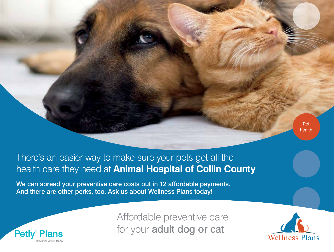

## There's an easier way to make sure your pets get all the health care they need at **Animal Hospital of Collin County**

We can spread your preventive care costs out in 12 affordable payments. And there are other perks, too. Ask us about Wellness Plans today!



Affordable preventive care for your adult dog or cat